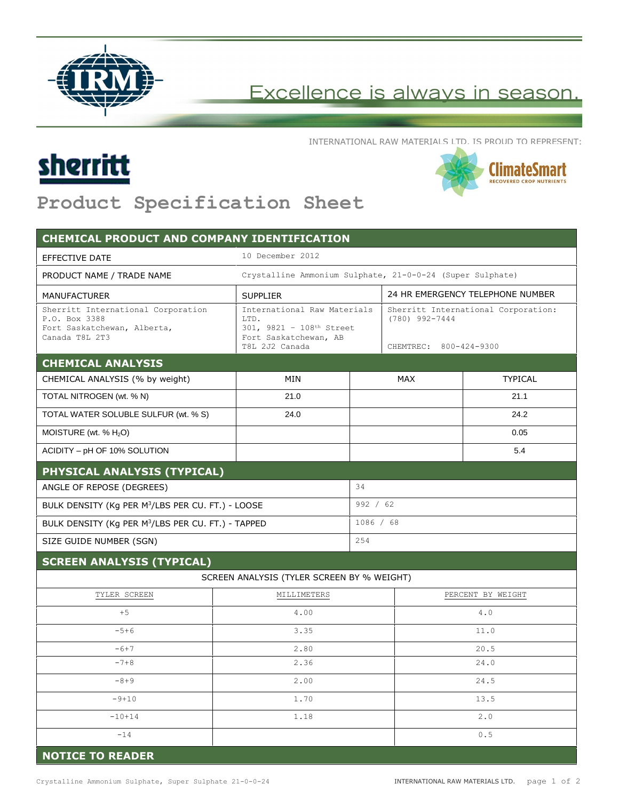

## Excellence is always in season.

INTERNATIONAL RAW MATERIALS LTD. IS PROUD TO REPRESENT:





## **Product Specification Sheet**

| <b>CHEMICAL PRODUCT AND COMPANY IDENTIFICATION</b>                                                   |                                                                                                            |           |                                                                                   |                |
|------------------------------------------------------------------------------------------------------|------------------------------------------------------------------------------------------------------------|-----------|-----------------------------------------------------------------------------------|----------------|
| <b>EFFECTIVE DATE</b>                                                                                | 10 December 2012                                                                                           |           |                                                                                   |                |
| PRODUCT NAME / TRADE NAME                                                                            | Crystalline Ammonium Sulphate, 21-0-0-24 (Super Sulphate)                                                  |           |                                                                                   |                |
| <b>MANUFACTURER</b>                                                                                  | <b>SUPPLIER</b>                                                                                            |           | 24 HR EMERGENCY TELEPHONE NUMBER                                                  |                |
| Sherritt International Corporation<br>P.O. Box 3388<br>Fort Saskatchewan, Alberta,<br>Canada T8L 2T3 | International Raw Materials<br>LTD.<br>301, 9821 - 108th Street<br>Fort Saskatchewan, AB<br>T8L 2J2 Canada |           | Sherritt International Corporation:<br>$(780)$ 992-7444<br>CHEMTREC: 800-424-9300 |                |
| <b>CHEMICAL ANALYSIS</b>                                                                             |                                                                                                            |           |                                                                                   |                |
| CHEMICAL ANALYSIS (% by weight)                                                                      | MIN                                                                                                        |           | <b>MAX</b>                                                                        | <b>TYPICAL</b> |
| TOTAL NITROGEN (wt. % N)                                                                             | 21.0                                                                                                       |           |                                                                                   | 21.1           |
| TOTAL WATER SOLUBLE SULFUR (wt. % S)                                                                 | 24.0                                                                                                       |           |                                                                                   | 24.2           |
| MOISTURE (wt. $% H2O$ )                                                                              |                                                                                                            |           |                                                                                   | 0.05           |
| ACIDITY - pH OF 10% SOLUTION                                                                         |                                                                                                            |           |                                                                                   | 5.4            |
| PHYSICAL ANALYSIS (TYPICAL)                                                                          |                                                                                                            |           |                                                                                   |                |
| ANGLE OF REPOSE (DEGREES)                                                                            | 34                                                                                                         |           |                                                                                   |                |
| BULK DENSITY (Kg PER M <sup>3</sup> /LBS PER CU. FT.) - LOOSE                                        |                                                                                                            | 992 / 62  |                                                                                   |                |
| BULK DENSITY (Kg PER M <sup>3</sup> /LBS PER CU. FT.) - TAPPED                                       |                                                                                                            | 1086 / 68 |                                                                                   |                |
| SIZE GUIDE NUMBER (SGN)                                                                              |                                                                                                            |           | 254                                                                               |                |
| <b>SCREEN ANALYSIS (TYPICAL)</b>                                                                     |                                                                                                            |           |                                                                                   |                |
|                                                                                                      | SCREEN ANALYSIS (TYLER SCREEN BY % WEIGHT)                                                                 |           |                                                                                   |                |
| TYLER SCREEN                                                                                         | MILLIMETERS                                                                                                |           | PERCENT BY WEIGHT                                                                 |                |
| $+5$                                                                                                 | 4.00                                                                                                       |           | 4.0                                                                               |                |
| $-5+6$                                                                                               | 3.35                                                                                                       |           | 11.0                                                                              |                |
| $-6+7$                                                                                               | 2.80                                                                                                       |           | 20.5                                                                              |                |
| $-7+8$                                                                                               | 2.36                                                                                                       |           | 24.0                                                                              |                |
| $-8+9$                                                                                               | 2.00                                                                                                       |           | 24.5                                                                              |                |
| $-9+10$                                                                                              | 1.70                                                                                                       |           | 13.5                                                                              |                |
| $-10+14$                                                                                             | 1.18                                                                                                       |           | 2.0                                                                               |                |
| $-14$                                                                                                |                                                                                                            |           | $\ensuremath{\mathsf{0}}\xspace$ .<br>5                                           |                |